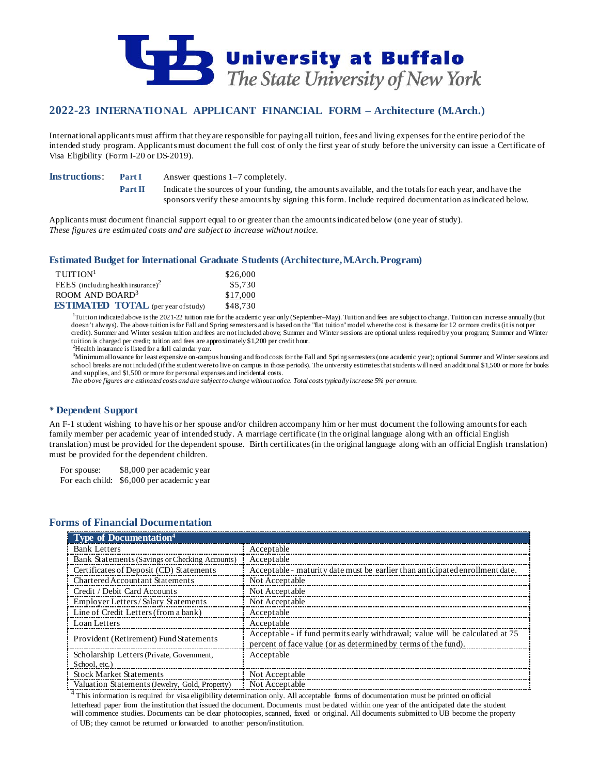

# **2022-23 INTERNATIONAL APPLICANT FINANCIAL FORM – Architecture (M.Arch.)**

International applicants must affirm that they are responsible for paying all tuition, fees and living expenses for the entire period of the intended study program. Applicants must document the full cost of only the first year of study before the university can issue a Certificate of Visa Eligibility (Form I-20 or DS-2019).

**Instructions: Part I** Answer questions 1–7 completely.

**Part II** Indicate the sources of your funding, the amounts available, and the totals for each year, and have the sponsors verify these amounts by signing this form. Include required documentation as indicated below.

Applicants must document financial support equal to or greater than the amounts indicated below (one year of study). *These figures are estimated costs and are subject to increase without notice.*

### **Estimated Budget for International Graduate Students (Architecture, M.Arch. Program)**

| $T$ UITION <sup>1</sup>                    | \$26,000 |
|--------------------------------------------|----------|
| FEES (including health insurance) $2$      | \$5,730  |
| ROOM AND BOARD <sup>3</sup>                | \$17,000 |
| <b>ESTIMATED TOTAL</b> (per year of study) | \$48,730 |

<sup>1</sup>Tuition indicated above is the 2021-22 tuition rate for the academic year only (September–May). Tuition and fees are subject to change. Tuition can increase annually (but doesn't always). The above tuition is for Fall and Spring semesters and is based on the "flat tuition" model where the cost is the same for 12 or more credits (it is not per credit). Summer and Winter session tuition and fees are not included above; Summer and Winter sessions are optional unless required by your program; Summer and Winter tuition is charged per credit; tuition and fees are approximately \$1,200 per credit hour.

 $^{2}$ Health insurance is listed for a full calendar year.

3 Minimum allowance for least expensive on-campus housing and food costs for the Fall and Spring semesters (one academic year); optional Summer and Winter sessions and school breaks are not included (if the student were to live on campus in those periods). The university estimates that students will need an additional \$1,500 or more for books and supplies, and \$1,500 or more for personal expenses and incidental costs.

*The above figures are estimated costs and are subject to change without notice. Total costs typically increase 5% per annum.*

### **Dependent Support**

An F-1 student wishing to have his or her spouse and/or children accompany him or her must document the following amounts for each family member per academic year of intended study. A marriage certificate (in the original language along with an official English translation) must be provided for the dependent spouse. Birth certificates (in the original language along with an official English translation) must be provided for the dependent children.

For spouse: \$8,000 per academic year For each child: \$6,000 per academic year

## **Forms of Financial Documentation**

| Type of Documentation <sup>4</sup>             |                                                                                                                                                 |
|------------------------------------------------|-------------------------------------------------------------------------------------------------------------------------------------------------|
| <b>Bank Letters</b>                            | Acceptable                                                                                                                                      |
| Bank Statements (Savings or Checking Accounts) | Acceptable                                                                                                                                      |
| Certificates of Deposit (CD) Statements        | Acceptable - maturity date must be earlier than anticipated enrollment date.                                                                    |
| Chartered Accountant Statements                | Not Acceptable                                                                                                                                  |
| Credit / Debit Card Accounts                   | Not Acceptable                                                                                                                                  |
| <b>Employer Letters/Salary Statements</b>      | Not Acceptable                                                                                                                                  |
| Line of Credit Letters (from a bank)           | Acceptable                                                                                                                                      |
| Loan Letters                                   | Acceptable                                                                                                                                      |
| Provident (Retirement) Fund Statements         | Acceptable - if fund permits early withdrawal; value will be calculated at 75<br>percent of face value (or as determined by terms of the fund). |
| Scholarship Letters (Private, Government,      | Acceptable                                                                                                                                      |
| School, etc.)                                  |                                                                                                                                                 |
| <b>Stock Market Statements</b>                 | Not Acceptable                                                                                                                                  |
| Valuation Statements (Jewelry, Gold, Property) | Not Acceptable                                                                                                                                  |

<sup>4</sup>This information is required for visa eligibility determination only. All acceptable forms of documentation must be printed on official letterhead paper from the institution that issued the document. Documents must be dated within one year of the anticipated date the student will commence studies. Documents can be clear photocopies, scanned, faxed or original. All documents submitted to UB become the property of UB; they cannot be returned or forwarded to another person/institution.